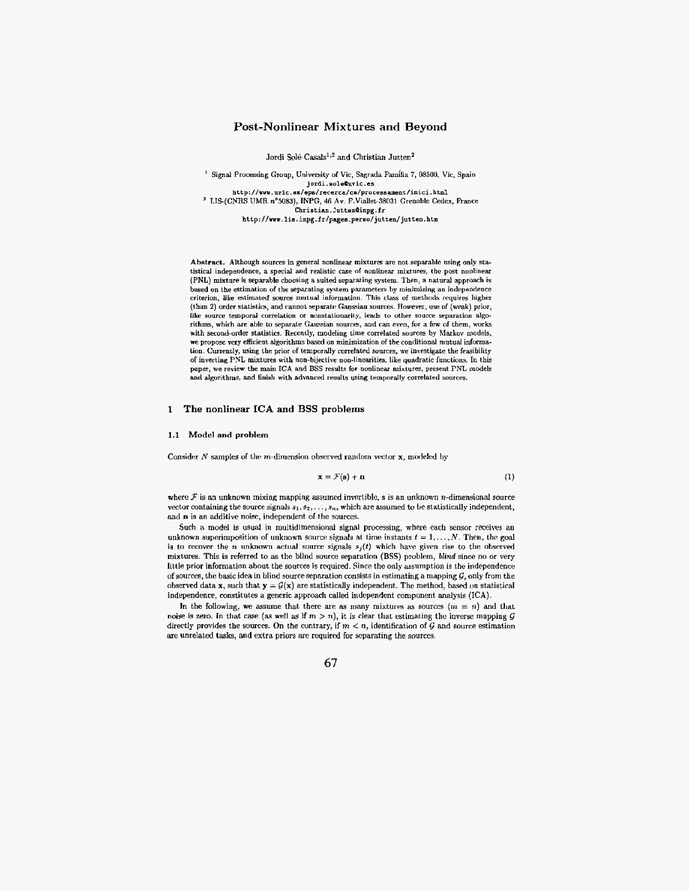# **Post-Nonlinear Mixtures and Beyond**

Jordi Solé-Casals<sup>1,2</sup> and Christian Jutten<sup>2</sup>

<sup>1</sup> Signal Processing Group, University of Vic, Sagrada Familia 7, 08500, Vic, Spain **jordi.soleQuvic.es**<br>http://www.uvic.es/eps/recerca/ca/processament/inici.html **http: //we .uvic. ev/eps/recerca/ca/proce.sament/inici, html** ' **LIS-(CNTIts UMR n"5083), INPG, 46 AV.** F.Viallet-38031 Grenobls **Cedex,** France **Christian.Jutten~inpg.fr**  http: **//m. lis. inpg.f r/pagea.perso/ jutten/ jutten. htm** 

Abstract. Although sources in general nonlinear mixtures are not separable using only statistical independence, a special and realistic case of nonlinear mixtnres, the post nonlinear (PNL) mixture is separable choosing **a** suited separating system. Then, **a** natural approach is based on the estimation of tho separating **Bystem** parameters **by** minimizing **an** indcpendence criterion, like estimated source mutual information. This class of methods requires higher (than **2)** order statistics, and cannot separate Gaarsian sources. However, **use** of [weak) prior, like source temporal correlation or nonstationarity, leads to other source separation algorithms, which are able **to** separate Gaussian **sourra,** and **can** even, for a **few of** them, works with second-order statistics. Recently, modeling time correlated sources by Markov models, we propose very efficient algorithms based on minimization of the conditional mutual information. Currently, **using** the prior of temporally correlated sources, **we** investigate the fesihility of inverting **PNL** mixtures with non-bijectiw non-liacarities, like quadratic functions. In this paper, **we** review the main **ICA** and BSS results **for** riunlinear mixtures, present PNL models and algorithms, and finish with advanced results using temporally correlated sources.

#### **1 The nonlinear ICA and BSS problems**

#### **1.1** Model **and** problem

Consider *N* samples of the *m*-dimension observed random vector **x**, modeled by

$$
\mathbf{x} = \mathcal{F}(\mathbf{s}) + \mathbf{n} \tag{1}
$$

**where** *F* is an unknown mixing mapping assumed invertible, **s** is **an** unknown n-dimensional source vector containing the source signals  $s_1, s_2, \ldots, s_n$ , which are assumed to be statistically independent, and **n is** an additive noise, independent of the sources.

Such a model is usual in multidimensional signal processing, where each sensor receives an unknown superimposition of unknown source signals at time instants  $t = 1, \ldots, N$ . Then, the goal is to recover the *n* unknown actual source signals  $s<sub>i</sub>(t)$  which have given rise to the observed mixtures. This is referred to as the blind source separation (BSS) problem, *blind* since no or very little prior information about the sources is required. Since the only assumption is the independence of sources, the basic idea in blind source separation consists in estimating a mapping  $G$ , only from the observed data **x**, such that  $\mathbf{y} = \mathcal{G}(\mathbf{x})$  are statistically independent. The method, based on statistical independence, constitutes a generic approach called independent component analysis (ICA).

In the following, we assume that there are as many mixtures as sources  $\{m = n\}$  and that noise is zero. In that case (as well as if  $m > n$ ), it is clear that estimating the inverse mapping  $G$ directly provides the sources. On the contrary, if  $m < n$ , identification of  $G$  and source estimation are unrelated tasks, **and extra** priors are required for separating the sources.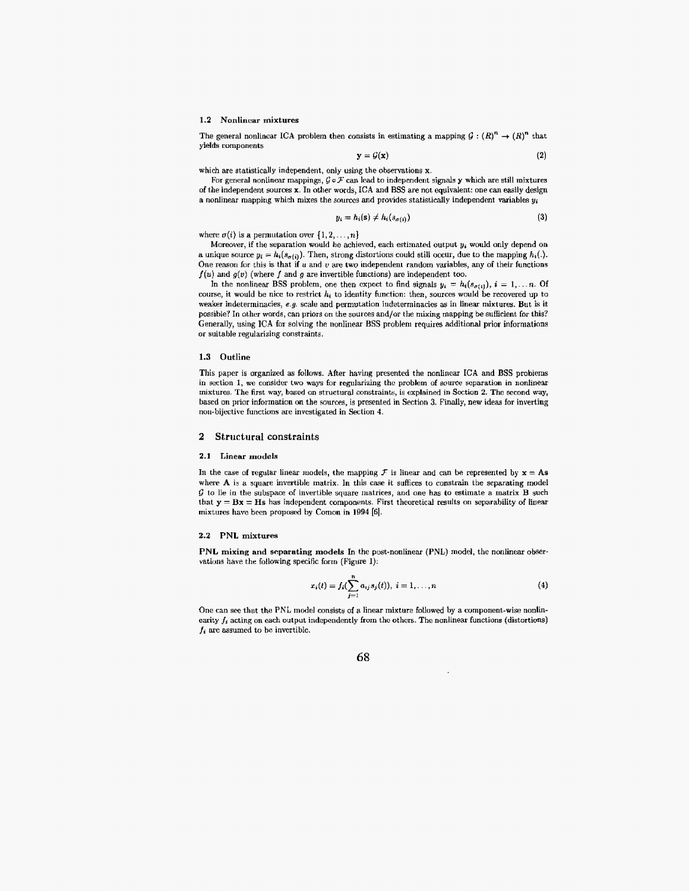#### **1.2** Nonlincar mixtures

The general nonlinear ICA problem then consists in estimating a mapping  $G : (R)^n \to (R)^n$  that yields components

$$
y = \mathcal{G}(x) \tag{2}
$$

which are statistically independent, only using the observations **x.** 

For general nonlinear mappings,  $G \circ \mathcal{F}$  can lead to independent signals y which are still mixtures of the independent **wurces x.** In other words, ICA and **BSS are** not. equivdent: one can easily **design**  a nonlinear mapping which mixes the sources and provides statistically independent variables  $y_i$ 

$$
y_i = h_i(\mathbf{s}) \neq h_i(s_{\sigma(i)})
$$
\n(3)

where  $\sigma(i)$  is a permutation over  $\{1,2,\ldots,n\}$ 

Moreover, if the separation would **Iic** achieved, each estimated output **ya** would only depend on a unique source  $y_i = h_i(s_{\sigma(i)})$ . Then, strong distortions could still occur, due to the mapping  $h_i(.)$ . One reason for this is that if  $u$  and  $v$  are two independent random variables, any of their functions  $f(u)$  and  $g(v)$  (where *f* and *g* are invertible functions) are independent too.

In the nonlinear BSS problem, one then expect to find signals  $y_i = h_i(s_{\sigma(i)})$ ,  $i = 1, \ldots n$ . Of course, it would be nice to restrict  $h_i$  to identity function: then, sources would be recovered up to weaker indeterminacies, **e.g.** scale and permutation indeterminacies **as** in linear mixtures. But is it possible? In other words, can priors on the sources and/or the mixing mapping be sufficient for this? Generally, using ICA for solving the nonlinear BSS problem requires additional prior informations or suitable regularizing constraints.

#### **1.3 Outline**

This paper is organized **as** follows. After having presented the nonlinear ICA and BSS problems in section 1, we consider two ways for regularizing the problem of source separation in nonlinear mixtures. The first **way,** based on structural constraints, is explained in Section 2. The **second way,**  based on prior information on the sources, is presented in Section 3. Finally, new ideas for inverting non-bijective functions are investigated in Section 4.

#### **2** Structural constraints

#### 2.1 Linear models

In the case of regular linear models, the mapping  $\mathcal F$  is linear and can be represented by  $\mathbf x = \mathbf A \mathbf s$ where A is a square invertible matrix. **In** this cae it suffices to constrain the separating model *G* to lie in the subspace of invertible square tnatrices, and one has to estimate a matrix B such that  $y = Bx = Hs$  has independent components. First theoretical results on separability of linear mixtures have been proposed by Comon in 1994 **[SI.** 

#### *2.2* **PNL** mixtures

**PNL** mixing **and** separating **models** In the post-nonlinear (PNL) model, the nonlinear observations have the following specific forin (Figure 1):

$$
x_i(t) = f_i(\sum_{j=1}^n a_{ij} s_j(t)), \ i = 1, ..., n
$$
 (4)

One can see that the PNL model consists of a linear mixture followed by a component-wise nonlinearity  $f_i$  acting on each output independently from the others. The nonlinear functions (distortions)  $f_i$  are assumed to be invertible.

# **68**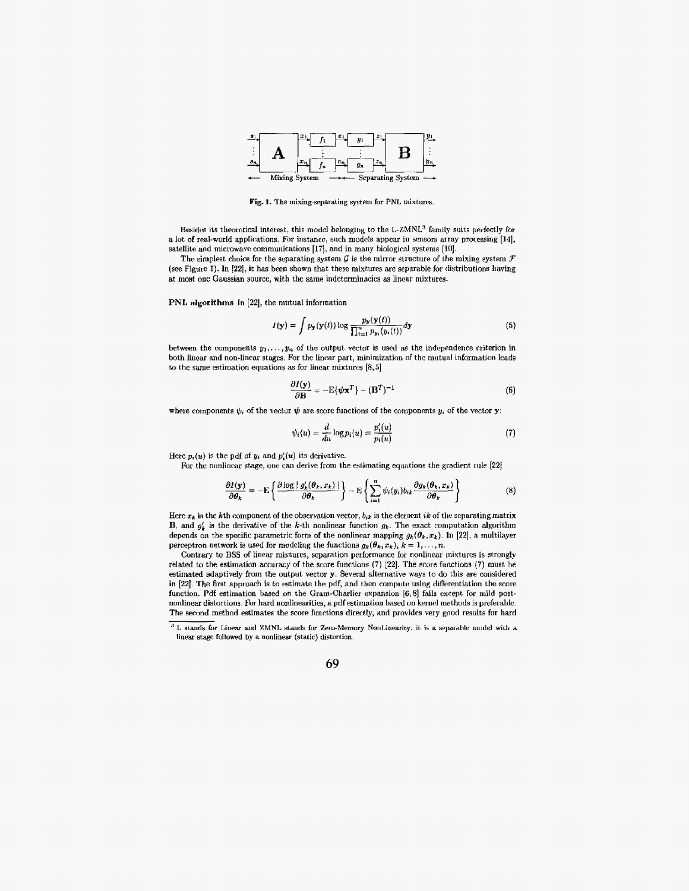

Fig. 1. The mixing-separating system for PNL mixtures.

Besides its theoretical interest, this model belonging to the L-ZMNL<sup>3</sup> family suits perfectly for a lot of real-world applications. For instance, such models appear in sensors array processing [14], satellite and microwave communications **[17],** and in many biological systems **[lo].** 

The simplest choice for the separating system  $G$  is the mirror structure of the mixing system  $\mathcal F$ (see Figure 1). In [22], it has been shown that these mixtures are separable for distributions having at most one Gaussian source, with the same indeterminacies as linear mixtures.

**PNL** algorithms In [22], the mutual information

$$
I(\mathbf{y}) = \int p_{\mathbf{y}}(\mathbf{y}(t)) \log \frac{p_{\mathbf{y}}(\mathbf{y}(t))}{\prod_{i=1}^{n} p_{\mathbf{y}_i}(\mathbf{y}_i(t))} d\mathbf{y}
$$
(5)

between the components  $y_1, \ldots, y_n$  of the output vector is used as the independence criterion in both linear and non-linear stages. For the linear part, minimization of the matual information leads to the same estimation equations **as** for linear mixtures **[8,5]** 

$$
\frac{\partial I(\mathbf{y})}{\partial \mathbf{B}} = -\mathbf{E}\{\boldsymbol{\psi}\mathbf{x}^T\} - (\mathbf{B}^T)^{-1}
$$
(6)

where components  $\psi_i$  of the vector  $\psi$  are score functions of the components  $y_i$  of the vector **y**.

$$
\psi_i(u) = \frac{d}{du} \log p_i(u) = \frac{p'_i(u)}{p_i(u)}\tag{7}
$$

Here  $p_i(u)$  is the pdf of  $y_i$  and  $p'_i(u)$  its derivative.

For the nonlinear stage, **one** can derive from the estimating equations the gradient **rule [22]** 

$$
\frac{\partial I(\mathbf{y})}{\partial \theta_k} = -\mathrm{E}\left\{\frac{\partial \log |\ g_k'(\theta_k, x_k)|}{\partial \theta_k}\right\} - \mathrm{E}\left\{\sum_{i=1}^n \psi_i(y_i) b_{ik} \frac{\partial g_k(\theta_k, x_k)}{\partial \theta_k}\right\} \tag{8}
$$

Here  $x_k$  is the kth component of the observation vector,  $b_{ik}$  is the element ik of the separating matrix **B**, and  $g'_k$  is the derivative of the k-th nonlinear function  $g_k$ . The exact computation algorithm depends on the specific parametric form of the nonlinear mapping  $g_k(\theta_k, x_k)$ . In [22], a multilayer perceptron network is used for modeling the functions  $g_k(\theta_k, x_k)$ ,  $k = 1, \ldots, n$ .

Contrary to BSS of linear mixtures, separation performance for nonlinear mixtures is strongly related to the estimation accuracy of the score functions **(7) [22].** The score functions (7) must be estimated adaptively from the output vector **y.** Several alternative **ways** to do this are considered in **[22].** The first approach is to estimate the pdf, and then compute using differentiation the score function. Pdf estimation based on the Cram-Charlier expansion **[6,8]** fails except for mild **post**nonlinear distortions. For hard nonlinearities, a pdf estimation based on kernel methods is preferablc. The second method estimates the score functions directly, and provides very good results for hard

L stands for Linear **and** ZMNL stands for **Zerc-Memory** NonLinearity: it is **a separable model with a linear stage** fallowed by **a** nonlinear (static) distortion.

**<sup>69</sup>**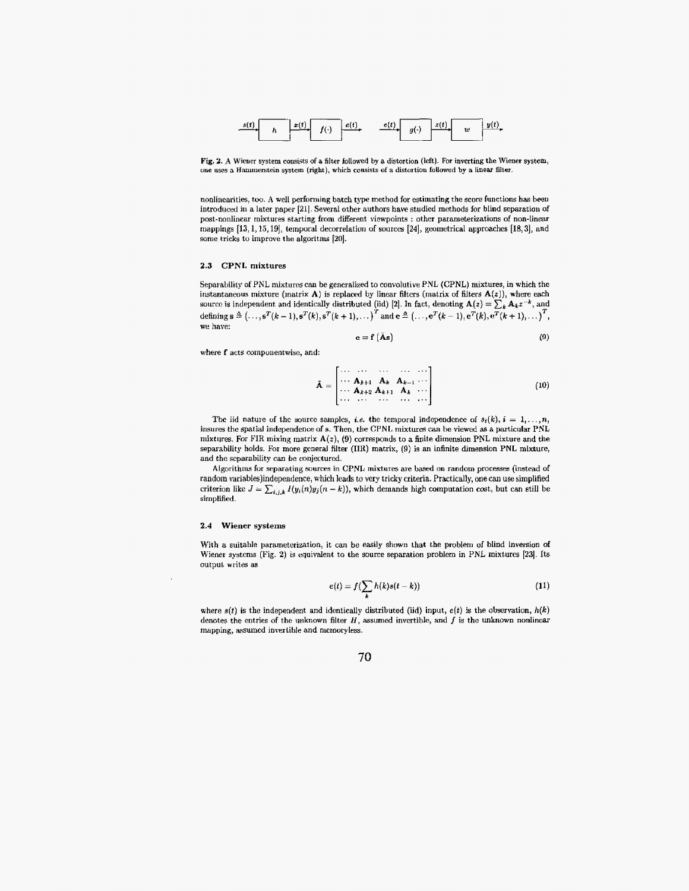

**Fig. 2. A** Wiener **system** consists **of a** filter **follmed by a** distortion (left). For inverting the Wiener **system, une** uses **a** HaIiinierstein system (right), which consists of **a** distortion **fallowed by a** linear filter.

nonlinearities, toe. A well performing batch type **method** for estimating the score functions **has** been introduced in a later paper [21]. Several other authors have studied methods for blind separation of post-nonlinear mixtures starting from different viewpoints : other patameterizations of non-linear mappings [13, 1, 15, 19], *temporal decorrelation of sources* [24], *geometrical approaches* [18, 3], *and* some tricks to improve the algoritms [20].

#### **2.3** CPNL mixtures

Separability of PNL mixtures can be generalized to convolutive PNL (CPNL) mixtures, in which the instantaneous mixture (matrix  $A$ ) is replaced by linear filters (matrix of filters  $A(z)$ ), where each source is independent and identically distributed (iid) [2]. In fact, denoting  $A(z) = \sum_{k} A_k z^{-k}$ , and  $\text{defining } \mathbf{s} \triangleq \left(\ldots,\mathbf{s}^T(k-1),\mathbf{s}^T(k),\mathbf{s}^T(k+1),\ldots\right)^T \text{ and } \mathbf{c} \triangleq \left(\ldots,\mathbf{e}^T(k-1),\mathbf{e}^T(k),\mathbf{e}^T(k+1),\ldots\right)^T,$ **we** have:

$$
\mathbf{e} = \mathbf{f} \left( \bar{\mathbf{A}} \mathbf{s} \right) \tag{9}
$$

where  $f$  acts componentwise, and:

$$
\tilde{\mathbf{A}} = \begin{bmatrix}\n\cdots & \cdots & \cdots & \cdots & \cdots \\
\cdots & \mathbf{A}_{k+1} & \mathbf{A}_k & \mathbf{A}_{k-1} & \cdots \\
\cdots & \mathbf{A}_{k+2} & \mathbf{A}_{k+1} & \mathbf{A}_k & \cdots \\
\cdots & \cdots & \cdots & \cdots & \cdots\n\end{bmatrix}
$$
\n(10)

The iid nature of the source samples, *i.e.* the temporal independence of  $s_i(k)$ ,  $i = 1, \ldots, n$ , insures the spatial independence of *s*. Then, the CPNL mixtures can be viewed as a particular PNL mixtures. For FIR mixing matrix  $A(z)$ , (9) corresponds to a finite dimension PNL mixture and the separability holds. For more general filter (IIK) matrix, (9) is **an** infinite dimension **PNL** mixture, and the separability can *be* conjectured.

Algorithms for separating sources in CPNL mixtures are based on random processes (instead of random variables)independence, which leads to very tricky criteria. Practically, one can use simplified criterion like  $J = \sum_{i,j,k} I(y_i(n)y_j(n-k))$ , which demands high computation cost, but can still be simplified.

#### **2.4 Wiener systems**

With a suitable parameterization, it can be easily shown that the problem of blind inversion of Wiener **systcms** (Fig. 2) is equivalent to the **source** separation problem in PNL mixtures **[23].** Its output writes as

$$
e(t) = f(\sum h(k)s(t-k))
$$
 (11)

where  $s(t)$  is the independent and identically distributed (iid) input,  $e(t)$  is the observation,  $h(k)$ denotes the entries of the unknown filter  $H$ , assumed invertible, and  $f$  is the unknown nonlinear mapping, **assumed** invertible and nietnotyless.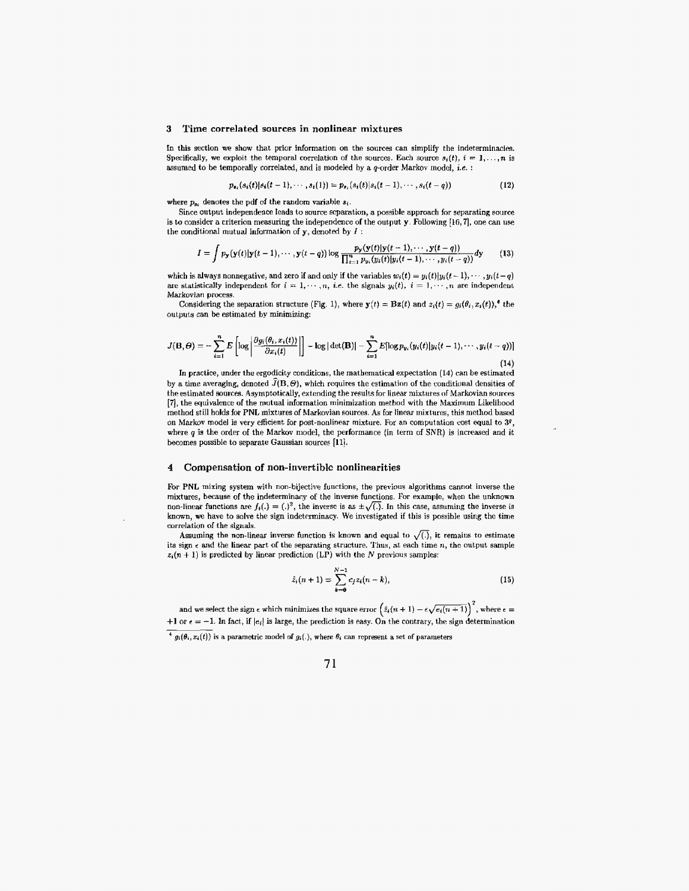#### **3 Time correlated sources in nonlinear mixtures**

In this section we show that prior information on the sources can simplify the indeterminacics. Specifically, we exploit the temporal correlation of the sources. Each source  $s_i(t)$ ,  $i = 1, \ldots, n$  is assumed to be temporally correlated, and is modeled by a q-order Markov model, **i.e.** :

$$
p_{s_i}(s_i(t)|s_i(t-1),\cdots,s_i(1))=p_{s_i}(s_i(t)|s_i(t-1),\cdots,s_i(t-q))
$$
\n(12)

where  $p_{si}$  denotes the pdf of the random variable  $s_i$ .

Since output independence leads to source scparation, **a** possible approach for separating source is to consider a criterion measuring the independence of the output **y**. Following [16,7], one can use the conditional mutual information of **y,** denoted **by** I :

$$
I = \int p_{\mathbf{y}}(\mathbf{y}(t)|\mathbf{y}(t-1), \cdots, \mathbf{y}(t-q)) \log \frac{p_{\mathbf{y}}(\mathbf{y}(t)|\mathbf{y}(t-1), \cdots, \mathbf{y}(t-q))}{\prod_{i=1}^{n} p_{y_i}(y_i(t)|y_i(t-1), \cdots, y_i(t-q))} d\mathbf{y}
$$
(13)

which is always nonnegative, and zero if and only if the variables  $w_i(t) = y_i(t)|y_i(t-1), \dots, y_i(t-q)$ are statistically independent for  $i = 1, \dots, n$ , *i.e.* the signals  $y_i(t)$ ,  $i = 1, \dots, n$  are independent Markovian process.

Considering the separation structure (Fig. 1), where  $\mathbf{y}(t) = \mathbf{Bz}(t)$  and  $z_i(t) = g_i(\theta_i, x_i(t))$ ,<sup>4</sup> the outputs can be estimated **by** minimizing:

$$
J(\mathbf{B},\Theta) = -\sum_{i=1}^{n} E\left[ \log \left| \frac{\partial g_i(\theta_i, x_i(t))}{\partial x_i(t)} \right| \right] - \log |\det(\mathbf{B})| - \sum_{i=1}^{n} E[\log p_{y_i}(y_i(t)|y_i(t-1), \cdots, y_i(t-q))]
$$
\n(14)

**(14)**  In practice, under the ergodicity conditions, t.he mathematical expectation **(14)** can be estimated by a time averaging, denoted  $\widehat{J}({\bf B},\Theta)$ , which requires the estimation of the conditional densities of the estimated sources. Asymptotically, extending the results for linear mixtures of Markovian sources **[7],** the equivalence of the mutual information minimization method with the **Maximum** Likelihood method still holds for **PNL** mixtures of Markovian sources. **As** for linear mixtures, this method based on Markov model is very efficient for post-nonlinear mixture. For an computation cost equal to **Y,**  where *q* is the order of the Markov model, the performance (in term of SNR) is increased and it becomes possible to separate Gaussian sources [11].

#### **4 Compensation of non-invertible nonlinearitiss**

For **PNL** mixing system with non-bijective functions, the previous algorithms cannot inverse the mixtures, **because** of the indeterminacy of the inverse functions. **For** exaimpie, **when** the unknown non-linear functions are  $f_i(.) = (.)^2$ , the inverse is as  $\pm \sqrt{(.)}$ . In this case, assuming the inverse is known, **we** have to solve the sign indeterminacy. We investigated if this is possible using the time corrclation of the signals.

Assuming the non-linear inverse function is known and equal to  $\sqrt{(.)}$ , it remains to estimate its sign  $\epsilon$  and the linear part of the separating structure. Thus, at each time *n*, the output sample  $z_i(n + 1)$  is predicted by linear prediction (LP) with the *N* previous samples:

$$
\hat{z}_i(n+1) = \sum_{k=0}^{N-1} c_j z_i(n-k), \qquad (15)
$$

and we select the sign  $\epsilon$  which minimizes the square error  $(\hat{z}_i(n+1) - \epsilon \sqrt{e_i(n+1)})^2$ , where  $\epsilon =$  $+1$  or  $\epsilon = -1$ . In fact, if  $|\epsilon_i|$  is large, the prediction is easy. On the contrary, the sign determination

 $\frac{4}{g_i(\theta_i, x_i(t))}$  is a parametric model of  $g_i(.)$ , where  $\theta_i$  can represent a set of parameters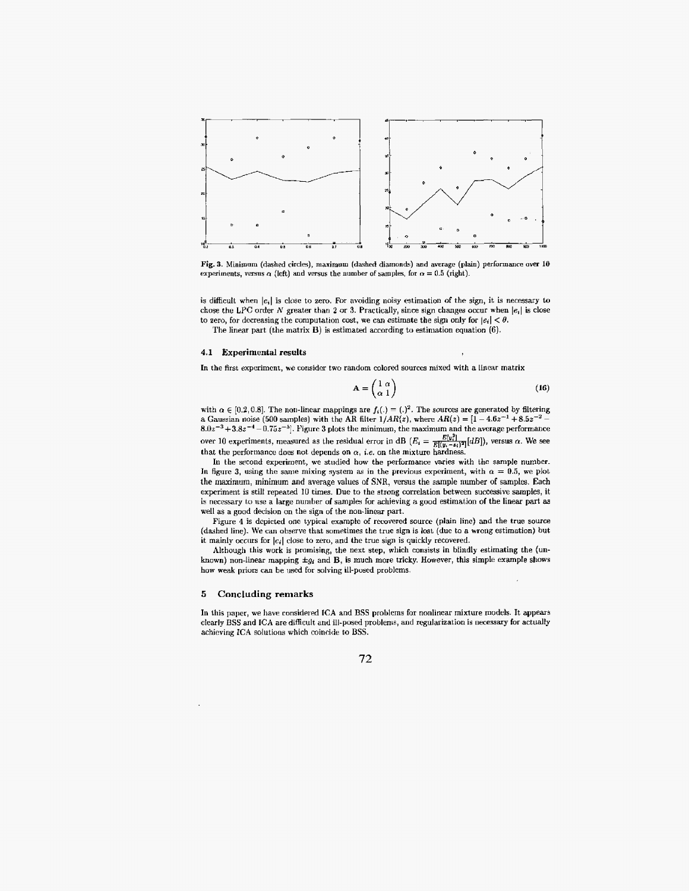

Fig. **3.** Minimum **(drshcd** circles), maximum (dashed diamonds) **and** average **(plain)** performance over **10**  experiments, versus  $\alpha$  (left) and versus the number of samples, for  $\alpha = 0.5$  (right).

is difficult when  $|e_i|$  is close to zero. For avoiding noisy estimation of the sign, it is necessary to chose the LPC order *N* greater than 2 or 3. Practically, since sign changes occur when  $|e_i|$  is close to zero, for decreasing the computation cost, we can estimate the sign only for  $|e_i| < \theta$ .

The linear part (the matrix **B**) is estimated according to estimation equation (6).

#### **4.1** Experimental results

In the first experiment, we consider two random colored sources mixed with a linear matrix

$$
\mathbf{A} = \begin{pmatrix} 1 & \alpha \\ \alpha & 1 \end{pmatrix} \tag{16}
$$

with  $\alpha \in [0.2, 0.8]$ . The non-linear mappings are  $f_i(.) = (.)^2$ . The sources are generated by filtering a Gaussian noise (500 samples) with the AR filter  $1/AR(z)$ , where  $AR(z) = [1 - 4.6z^{-1} + 8.5z^{-2}]$ **8.0~-~+3.82-~ -0.752-"].** E'igrrrc 3 plots **the** minimutn, the maximum and the average performance over 10 experiments, measured as the residual error in dB  $(E_i = \frac{E[y_i]}{E[(y_i - s_i)]^2} [dB]$ , versus  $\alpha$ . We see that the performance does not depends on  $\alpha$ , *i.e.* on the mixture hardness.

In the second experiment, we studied how the performance varies with the sample number. In figure 3, using the same mixing system as in the previous experiment, with  $\alpha = 0.5$ , we plot the maximum, minimum and average values of SNR, versus the sample number of samples. Each experiment is stilt repeated 10 times. Due to the strong correlation between successive samples, it is necessary to use a large number of samples for achieving a good estimation of the linear part as well as a good decision on the sign of the non-linear part.

Figure **4** is depicted one typical example of recovered source (plain line) and the true source (dashed line). **We can** observe that sometimes the truc sign is lost **(due** to a wrong estimation) but it mainly occurs for  $|e_i|$  close to zero, and the true sign is quickly recovered.

Although this **work** is promising, the **next** step, **which** consists in blindly estimating **the** (unknown) non-linear mapping **\*gi** and B, is much more tricky. However, this simple example shows how weak priors can be used for solving ill-posed problems.

### *5* **Concluding remarks**

In this paper, we have considered ICA and BSS problems for nonlinear mixture models. It appears clearly **BSS** and **ICA** arc difficult arid ill-posed problems, and regularization is **necessary** for actually achieving **ICA** solutions which coincide to **BSS.**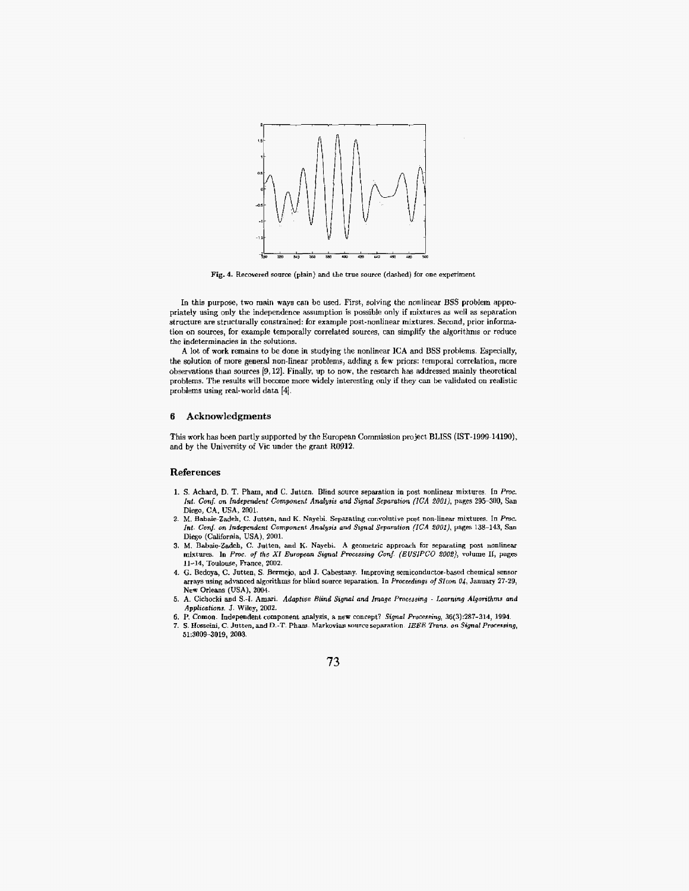

Fig. 4. Recovered source (plain) and the true source (dashed) for one experiment

In this purpose, two main ways can be used. First, solving the nonlinear BSS problem appropriately using only the independence assumption is possible only if mixtures as well as separation structure are structurally constrained: for example post-nonlinear mixtures. Second, prior information **on** sources, for example temporally correlated **sourcez,** can simplify the algorithms or reduce the indeterminacies in the solutions.

A lot of **work** remains **to** be dotie in studying the nonlinear ICA and USS **protrlenis.** Especially, the solution of more **general** non-hear problems, adding **a few** priors: temporal correlation, more obsexvations than sources *[O,* **121.** Finally, up to **now,** the research **has** addressed mainly **theoretic&**  problems. **The results** will become **more widely** interesting only if they **can be** validated on realistic problems using real-world data **[4].** 

# *6* **Acknowledgments**

This **work** has been partly supported by **the** European Commission project BLISS **(IST-1999-14190),**  and **by** the University of **Vic** under **the** grant **R0912.** 

#### **References**

- **1. S. Achard, D.** T. Pham, and C. **Jutten.** Blind **sourcc** separation io post nonlinear mixturcs. In *Pmc.*  **Int. Conf. on** *Independenf Component* **AnaIyJis and** *Signal* **Separation** *(EA 2OOl),* **pages 295-300, San**  Diego, CA, USA, **2001.**
- **2.** M. **Elabaio-Zadeh,** *C.* Jutten, **and** K. Nayebi. Separating convolutive post noli-linear mixtures. In **Pmc.**  *Int- Conj.* **on Independent Component Analysia and Signal Separation** *(ICA* ZOOl), pages 138-143, San Diego (California, USA), 2001.
- 3. M. Babaie-Zadeh, C. Jutten, and K. Nayebi. A geometric approach for separating post nonlinear mixtures. In Proc. of the XI European Signal Processing Conf. (EUSIPCO 2002), volume II, pages **11-14,** Toulouse, Rance, **2002.**
- 4. G. Bedoya, C. Jutten, S. Bermejo, and J. Cabestany. Improving semiconductor-based chemical sensor arrays using advanced algorithms for blind source separation. In *Proceeding8 of* **Sfcon** *04,* January **27-29, New** Orleans **(USA), 2004.**
- **5.** A. Cichocki **aod** *S.4* Amari. *Adaptrue* **Blind Signal and** *Image* **Pmcessing Lenrnrng** *Algorithms and*  **Applications.** J. Wiley, **2002.**
- *6.* **P.** Comon. lndependent component **analysis, a new** concept? **Signal Processing, 36(3):287-314, 1994**
- **7. S.** Hmeini, *C.* **Jutten, and D.-T. Pham. Markovian source separation** *IEEE* **Tkans. on** *Signal Processing,*  **51:3009-3019. 2003.**